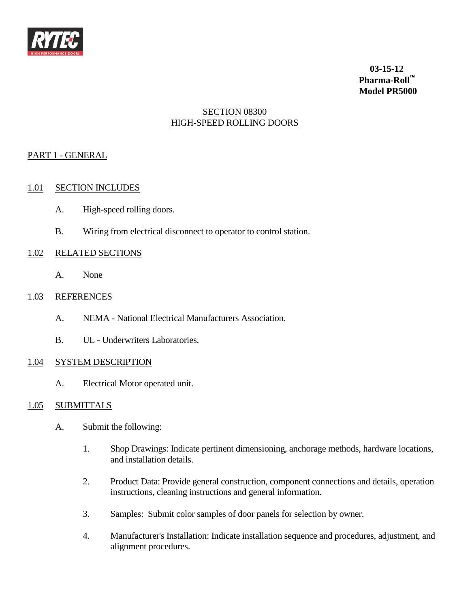

**03-15-12 Pharma-Roll Model PR5000**

# SECTION 08300 HIGH-SPEED ROLLING DOORS

# PART 1 - GENERAL

## 1.01 SECTION INCLUDES

- A. High-speed rolling doors.
- B. Wiring from electrical disconnect to operator to control station.

## 1.02 RELATED SECTIONS

A. None

## 1.03 REFERENCES

- A. NEMA National Electrical Manufacturers Association.
- B. UL Underwriters Laboratories.

# 1.04 SYSTEM DESCRIPTION

A. Electrical Motor operated unit.

# 1.05 SUBMITTALS

- A. Submit the following:
	- 1. Shop Drawings: Indicate pertinent dimensioning, anchorage methods, hardware locations, and installation details.
	- 2. Product Data: Provide general construction, component connections and details, operation instructions, cleaning instructions and general information.
	- 3. Samples: Submit color samples of door panels for selection by owner.
	- 4. Manufacturer's Installation: Indicate installation sequence and procedures, adjustment, and alignment procedures.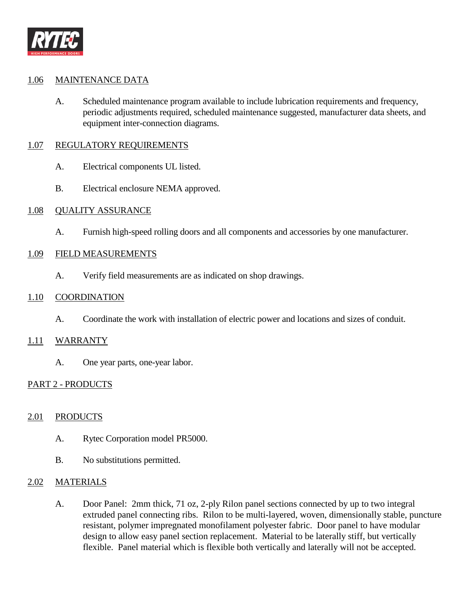

### 1.06 MAINTENANCE DATA

A. Scheduled maintenance program available to include lubrication requirements and frequency, periodic adjustments required, scheduled maintenance suggested, manufacturer data sheets, and equipment inter-connection diagrams.

#### 1.07 REGULATORY REQUIREMENTS

- A. Electrical components UL listed.
- B. Electrical enclosure NEMA approved.

#### 1.08 QUALITY ASSURANCE

A. Furnish high-speed rolling doors and all components and accessories by one manufacturer.

#### 1.09 FIELD MEASUREMENTS

A. Verify field measurements are as indicated on shop drawings.

#### 1.10 COORDINATION

A. Coordinate the work with installation of electric power and locations and sizes of conduit.

#### 1.11 WARRANTY

A. One year parts, one-year labor.

### PART 2 - PRODUCTS

### 2.01 PRODUCTS

- A. Rytec Corporation model PR5000.
- B. No substitutions permitted.

### 2.02 MATERIALS

A. Door Panel: 2mm thick, 71 oz, 2-ply Rilon panel sections connected by up to two integral extruded panel connecting ribs. Rilon to be multi-layered, woven, dimensionally stable, puncture resistant, polymer impregnated monofilament polyester fabric. Door panel to have modular design to allow easy panel section replacement. Material to be laterally stiff, but vertically flexible. Panel material which is flexible both vertically and laterally will not be accepted.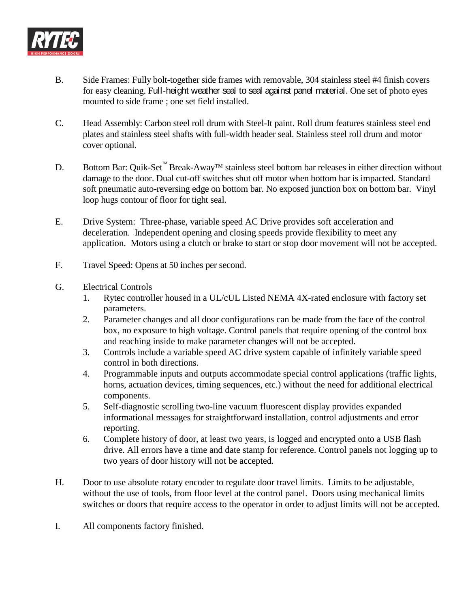

- B. Side Frames: Fully bolt-together side frames with removable, 304 stainless steel #4 finish covers for easy cleaning. Full-height weather seal to seal against panel material. One set of photo eyes mounted to side frame ; one set field installed.
- C. Head Assembly: Carbon steel roll drum with Steel-It paint. Roll drum features stainless steel end plates and stainless steel shafts with full-width header seal. Stainless steel roll drum and motor cover optional.
- D. Bottom Bar: Quik-Set<sup>™</sup> Break-Away<sup>™</sup> stainless steel bottom bar releases in either direction without damage to the door. Dual cut-off switches shut off motor when bottom bar is impacted. Standard soft pneumatic auto-reversing edge on bottom bar. No exposed junction box on bottom bar. Vinyl loop hugs contour of floor for tight seal.
- E. Drive System: Three-phase, variable speed AC Drive provides soft acceleration and deceleration. Independent opening and closing speeds provide flexibility to meet any application. Motors using a clutch or brake to start or stop door movement will not be accepted.
- F. Travel Speed: Opens at 50 inches per second.
- G. Electrical Controls
	- 1. Rytec controller housed in a UL/cUL Listed NEMA 4X-rated enclosure with factory set parameters.
	- 2. Parameter changes and all door configurations can be made from the face of the control box, no exposure to high voltage. Control panels that require opening of the control box and reaching inside to make parameter changes will not be accepted.
	- 3. Controls include a variable speed AC drive system capable of infinitely variable speed control in both directions.
	- 4. Programmable inputs and outputs accommodate special control applications (traffic lights, horns, actuation devices, timing sequences, etc.) without the need for additional electrical components.
	- 5. Self-diagnostic scrolling two-line vacuum fluorescent display provides expanded informational messages for straightforward installation, control adjustments and error reporting.
	- 6. Complete history of door, at least two years, is logged and encrypted onto a USB flash drive. All errors have a time and date stamp for reference. Control panels not logging up to two years of door history will not be accepted.
- H. Door to use absolute rotary encoder to regulate door travel limits. Limits to be adjustable, without the use of tools, from floor level at the control panel. Doors using mechanical limits switches or doors that require access to the operator in order to adjust limits will not be accepted.
- I. All components factory finished.